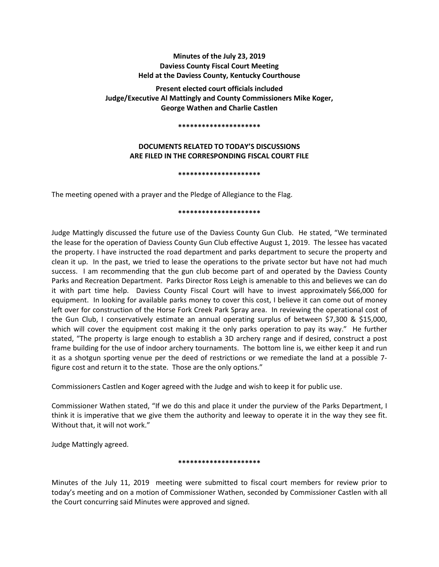# **Minutes of the July 23, 2019 Daviess County Fiscal Court Meeting Held at the Daviess County, Kentucky Courthouse**

**Present elected court officials included Judge/Executive Al Mattingly and County Commissioners Mike Koger, George Wathen and Charlie Castlen** 

#### **\*\*\*\*\*\*\*\*\*\*\*\*\*\*\*\*\*\*\*\*\***

# **DOCUMENTS RELATED TO TODAY'S DISCUSSIONS ARE FILED IN THE CORRESPONDING FISCAL COURT FILE**

#### **\*\*\*\*\*\*\*\*\*\*\*\*\*\*\*\*\*\*\*\*\***

The meeting opened with a prayer and the Pledge of Allegiance to the Flag.

### **\*\*\*\*\*\*\*\*\*\*\*\*\*\*\*\*\*\*\*\*\***

Judge Mattingly discussed the future use of the Daviess County Gun Club. He stated, "We terminated the lease for the operation of Daviess County Gun Club effective August 1, 2019. The lessee has vacated the property. I have instructed the road department and parks department to secure the property and clean it up. In the past, we tried to lease the operations to the private sector but have not had much success. I am recommending that the gun club become part of and operated by the Daviess County Parks and Recreation Department. Parks Director Ross Leigh is amenable to this and believes we can do it with part time help. Daviess County Fiscal Court will have to invest approximately \$66,000 for equipment. In looking for available parks money to cover this cost, I believe it can come out of money left over for construction of the Horse Fork Creek Park Spray area. In reviewing the operational cost of the Gun Club, I conservatively estimate an annual operating surplus of between \$7,300 & \$15,000, which will cover the equipment cost making it the only parks operation to pay its way." He further stated, "The property is large enough to establish a 3D archery range and if desired, construct a post frame building for the use of indoor archery tournaments. The bottom line is, we either keep it and run it as a shotgun sporting venue per the deed of restrictions or we remediate the land at a possible 7 figure cost and return it to the state. Those are the only options."

Commissioners Castlen and Koger agreed with the Judge and wish to keep it for public use.

Commissioner Wathen stated, "If we do this and place it under the purview of the Parks Department, I think it is imperative that we give them the authority and leeway to operate it in the way they see fit. Without that, it will not work."

Judge Mattingly agreed.

## **\*\*\*\*\*\*\*\*\*\*\*\*\*\*\*\*\*\*\*\*\***

Minutes of the July 11, 2019 meeting were submitted to fiscal court members for review prior to today's meeting and on a motion of Commissioner Wathen, seconded by Commissioner Castlen with all the Court concurring said Minutes were approved and signed.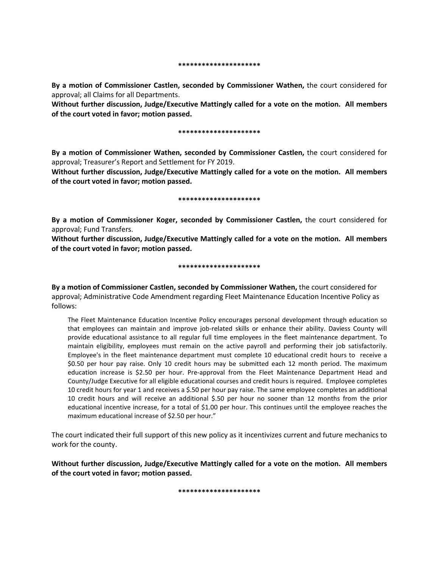**\*\*\*\*\*\*\*\*\*\*\*\*\*\*\*\*\*\*\*\*\***

**By a motion of Commissioner Castlen, seconded by Commissioner Wathen,** the court considered for approval; all Claims for all Departments.

**Without further discussion, Judge/Executive Mattingly called for a vote on the motion. All members of the court voted in favor; motion passed.** 

#### **\*\*\*\*\*\*\*\*\*\*\*\*\*\*\*\*\*\*\*\*\***

**By a motion of Commissioner Wathen, seconded by Commissioner Castlen,** the court considered for approval; Treasurer's Report and Settlement for FY 2019.

**Without further discussion, Judge/Executive Mattingly called for a vote on the motion. All members of the court voted in favor; motion passed.** 

**\*\*\*\*\*\*\*\*\*\*\*\*\*\*\*\*\*\*\*\*\***

**By a motion of Commissioner Koger, seconded by Commissioner Castlen,** the court considered for approval; Fund Transfers.

**Without further discussion, Judge/Executive Mattingly called for a vote on the motion. All members of the court voted in favor; motion passed.** 

#### **\*\*\*\*\*\*\*\*\*\*\*\*\*\*\*\*\*\*\*\*\***

**By a motion of Commissioner Castlen, seconded by Commissioner Wathen,** the court considered for approval; Administrative Code Amendment regarding Fleet Maintenance Education Incentive Policy as follows:

The Fleet Maintenance Education Incentive Policy encourages personal development through education so that employees can maintain and improve job-related skills or enhance their ability. Daviess County will provide educational assistance to all regular full time employees in the fleet maintenance department. To maintain eligibility, employees must remain on the active payroll and performing their job satisfactorily. Employee's in the fleet maintenance department must complete 10 educational credit hours to receive a \$0.50 per hour pay raise. Only 10 credit hours may be submitted each 12 month period. The maximum education increase is \$2.50 per hour. Pre-approval from the Fleet Maintenance Department Head and County/Judge Executive for all eligible educational courses and credit hours is required. Employee completes 10 credit hours for year 1 and receives a \$.50 per hour pay raise. The same employee completes an additional 10 credit hours and will receive an additional \$.50 per hour no sooner than 12 months from the prior educational incentive increase, for a total of \$1.00 per hour. This continues until the employee reaches the maximum educational increase of \$2.50 per hour."

The court indicated their full support of this new policy as it incentivizes current and future mechanics to work for the county.

**Without further discussion, Judge/Executive Mattingly called for a vote on the motion. All members of the court voted in favor; motion passed.** 

**\*\*\*\*\*\*\*\*\*\*\*\*\*\*\*\*\*\*\*\*\***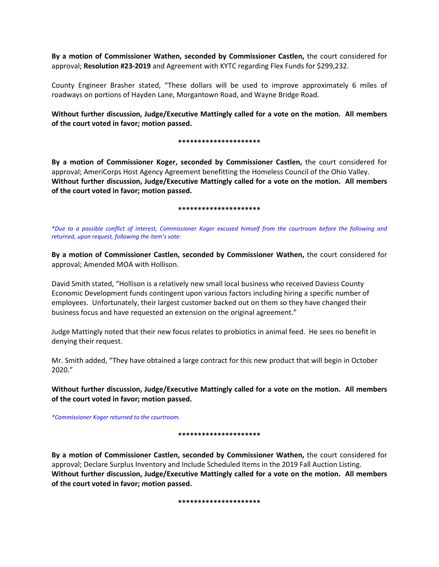**By a motion of Commissioner Wathen, seconded by Commissioner Castlen,** the court considered for approval; **Resolution #23-2019** and Agreement with KYTC regarding Flex Funds for \$299,232.

County Engineer Brasher stated, "These dollars will be used to improve approximately 6 miles of roadways on portions of Hayden Lane, Morgantown Road, and Wayne Bridge Road.

**Without further discussion, Judge/Executive Mattingly called for a vote on the motion. All members of the court voted in favor; motion passed.** 

#### **\*\*\*\*\*\*\*\*\*\*\*\*\*\*\*\*\*\*\*\*\***

**By a motion of Commissioner Koger, seconded by Commissioner Castlen,** the court considered for approval; AmeriCorps Host Agency Agreement benefitting the Homeless Council of the Ohio Valley. **Without further discussion, Judge/Executive Mattingly called for a vote on the motion. All members of the court voted in favor; motion passed.** 

#### **\*\*\*\*\*\*\*\*\*\*\*\*\*\*\*\*\*\*\*\*\***

*\*Due to a possible conflict of interest, Commissioner Koger excused himself from the courtroom before the following and returned, upon request, following the item's vote:* 

**By a motion of Commissioner Castlen, seconded by Commissioner Wathen,** the court considered for approval; Amended MOA with Hollison.

David Smith stated, "Hollison is a relatively new small local business who received Daviess County Economic Development funds contingent upon various factors including hiring a specific number of employees. Unfortunately, their largest customer backed out on them so they have changed their business focus and have requested an extension on the original agreement."

Judge Mattingly noted that their new focus relates to probiotics in animal feed. He sees no benefit in denying their request.

Mr. Smith added, "They have obtained a large contract for this new product that will begin in October 2020."

**Without further discussion, Judge/Executive Mattingly called for a vote on the motion. All members of the court voted in favor; motion passed.** 

*\*Commissioner Koger returned to the courtroom.* 

### **\*\*\*\*\*\*\*\*\*\*\*\*\*\*\*\*\*\*\*\*\***

**By a motion of Commissioner Castlen, seconded by Commissioner Wathen,** the court considered for approval; Declare Surplus Inventory and Include Scheduled Items in the 2019 Fall Auction Listing. **Without further discussion, Judge/Executive Mattingly called for a vote on the motion. All members of the court voted in favor; motion passed.** 

**\*\*\*\*\*\*\*\*\*\*\*\*\*\*\*\*\*\*\*\*\***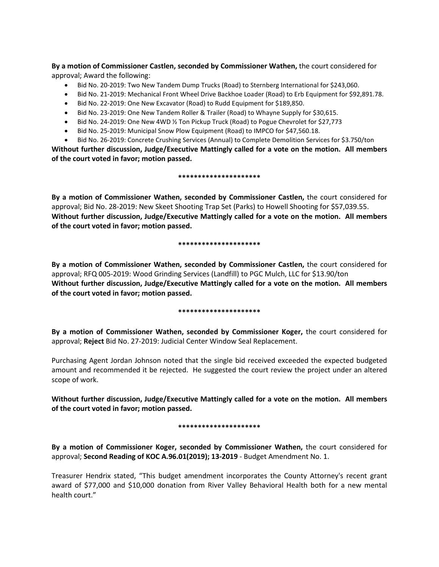**By a motion of Commissioner Castlen, seconded by Commissioner Wathen,** the court considered for approval; Award the following:

- Bid No. 20-2019: Two New Tandem Dump Trucks (Road) to Sternberg International for \$243,060.
- Bid No. 21-2019: Mechanical Front Wheel Drive Backhoe Loader (Road) to Erb Equipment for \$92,891.78.
- Bid No. 22-2019: One New Excavator (Road) to Rudd Equipment for \$189,850.
- Bid No. 23-2019: One New Tandem Roller & Trailer (Road) to Whayne Supply for \$30,615.
- Bid No. 24-2019: One New 4WD ½ Ton Pickup Truck (Road) to Pogue Chevrolet for \$27,773
- Bid No. 25-2019: Municipal Snow Plow Equipment (Road) to IMPCO for \$47,560.18.
- Bid No. 26-2019: Concrete Crushing Services (Annual) to Complete Demolition Services for \$3.750/ton

**Without further discussion, Judge/Executive Mattingly called for a vote on the motion. All members of the court voted in favor; motion passed.** 

### **\*\*\*\*\*\*\*\*\*\*\*\*\*\*\*\*\*\*\*\*\***

**By a motion of Commissioner Wathen, seconded by Commissioner Castlen,** the court considered for approval; Bid No. 28-2019: New Skeet Shooting Trap Set (Parks) to Howell Shooting for \$57,039.55. **Without further discussion, Judge/Executive Mattingly called for a vote on the motion. All members of the court voted in favor; motion passed.** 

### **\*\*\*\*\*\*\*\*\*\*\*\*\*\*\*\*\*\*\*\*\***

**By a motion of Commissioner Wathen, seconded by Commissioner Castlen,** the court considered for approval; RFQ 005-2019: Wood Grinding Services (Landfill) to PGC Mulch, LLC for \$13.90/ton **Without further discussion, Judge/Executive Mattingly called for a vote on the motion. All members of the court voted in favor; motion passed.** 

## **\*\*\*\*\*\*\*\*\*\*\*\*\*\*\*\*\*\*\*\*\***

**By a motion of Commissioner Wathen, seconded by Commissioner Koger,** the court considered for approval; **Reject** Bid No. 27-2019: Judicial Center Window Seal Replacement.

Purchasing Agent Jordan Johnson noted that the single bid received exceeded the expected budgeted amount and recommended it be rejected. He suggested the court review the project under an altered scope of work.

**Without further discussion, Judge/Executive Mattingly called for a vote on the motion. All members of the court voted in favor; motion passed.** 

## **\*\*\*\*\*\*\*\*\*\*\*\*\*\*\*\*\*\*\*\*\***

**By a motion of Commissioner Koger, seconded by Commissioner Wathen,** the court considered for approval; **Second Reading of KOC A.96.01(2019); 13-2019** - Budget Amendment No. 1.

Treasurer Hendrix stated, "This budget amendment incorporates the County Attorney's recent grant award of \$77,000 and \$10,000 donation from River Valley Behavioral Health both for a new mental health court."